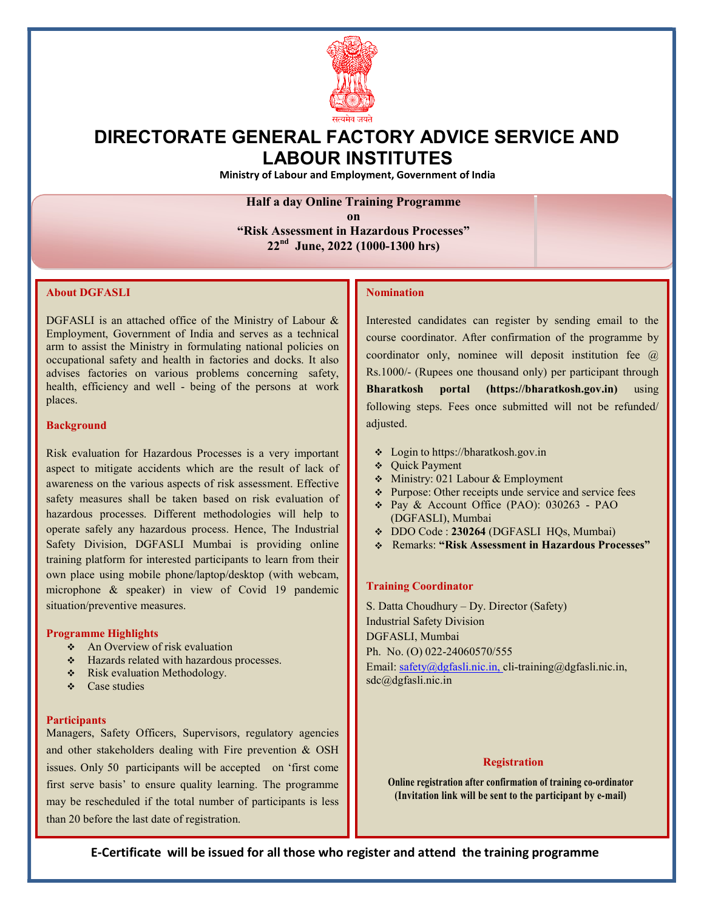

# DIRECTORATE GENERAL FACTORY ADVICE SERVICE AND LABOUR INSTITUTES

Ministry of Labour and Employment, Government of India

## Half a day Online Training Programme

on "Risk Assessment in Hazardous Processes" 22nd June, 2022 (1000-1300 hrs)

## About DGFASLI

n advises factories on various problems concerning safety, health, efficiency and well - being of the persons at work DGFASLI is an attached office of the Ministry of Labour & Employment, Government of India and serves as a technical arm to assist the Ministry in formulating national policies on occupational safety and health in factories and docks. It also places.

#### **Background**

awareness on the various aspects of risk assessment. Effective  $\begin{bmatrix} \cdot & \cdot & \cdot & \cdot \\ \cdot & \cdot & \cdot & \cdot \\ \cdot & \cdot & \cdot & \cdot \end{bmatrix}$ Risk evaluation for Hazardous Processes is a very important aspect to mitigate accidents which are the result of lack of safety measures shall be taken based on risk evaluation of hazardous processes. Different methodologies will help to operate safely any hazardous process. Hence, The Industrial Safety Division, DGFASLI Mumbai is providing online training platform for interested participants to learn from their own place using mobile phone/laptop/desktop (with webcam, microphone & speaker) in view of Covid 19 pandemic situation/preventive measures.

#### Programme Highlights

- An Overview of risk evaluation
- Hazards related with hazardous processes.
- Risk evaluation Methodology.
- $\triangle$  Case studies

#### **Participants**

and other stakeholders dealing with Fire prevention  $\&$  OSH Managers, Safety Officers, Supervisors, regulatory agencies issues. Only 50 participants will be accepted on 'first come first serve basis' to ensure quality learning. The programme may be rescheduled if the total number of participants is less than 20 before the last date of registration.

## Nomination

course coordinator. After confirmation of the programme by  $\|\cdot\|$ following steps. Fees once submitted will not be refunded/ Interested candidates can register by sending email to the coordinator only, nominee will deposit institution fee @ Rs.1000/- (Rupees one thousand only) per participant through Bharatkosh portal (https://bharatkosh.gov.in) using adjusted.

- Login to https://bharatkosh.gov.in
- Quick Payment
- Ministry: 021 Labour & Employment
- Purpose: Other receipts unde service and service fees
- Pay & Account Office (PAO): 030263 PAO (DGFASLI), Mumbai
- DDO Code : 230264 (DGFASLI HQs, Mumbai)
- Remarks: "Risk Assessment in Hazardous Processes"

#### Training Coordinator

postala de la propia de la propia de la propia de la propia de la propia de la propia de la propia de la propi S. Datta Choudhury – Dy. Director (Safety) Industrial Safety Division Ph. No. (O) 022-24060570/555 Email: safety@dgfasli.nic.in, cli-training@dgfasli.nic.in, sdc@dgfasli.nic.in

## **Registration**

Online registration after confirmation of training co-ordinator (Invitation link will be sent to the participant by e-mail)

E-Certificate will be issued for all those who register and attend the training programme